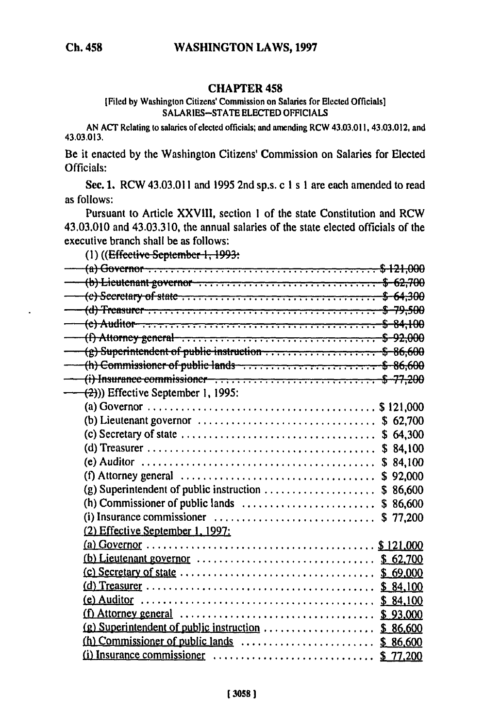## **CHAPTER 458**

## [Filed by Washington Citizens' Commission on Salaries for Elected Officials] SALARIES-STATE ELECTED OFFICIALS

AN ACT Relating to salaries of elected officials; and amending RCW 43.03.011, 43.03.012, and 43.03.013.

Be it enacted by the Washington Citizens' Commission on Salaries for Elected Officials:

Sec. 1. RCW 43.03.011 and 1995 2nd sp.s. c 1 s 1 are each amended to read as follows:

Pursuant to Article XXVIII, section 1 of the state Constitution and RCW 43.03.010 and 43.03.310, the annual salaries of the state elected officials of the executive branch shall be as follows:

(1) ((Effective September 1, 1993:

| $(b)$ Lieutenant governor $\dots \dots \dots \dots \dots \dots \dots \dots \dots \dots$ \$ 62,700                                             |          |
|-----------------------------------------------------------------------------------------------------------------------------------------------|----------|
|                                                                                                                                               |          |
|                                                                                                                                               |          |
| $(e)$ Auditor $\dots$ , $\dots$ , $\dots$ , $\dots$ , $\dots$ , $\dots$ , $\dots$ , $\dots$ , $\dots$ , $\dots$ , $\dots$ , $\dots$ , $\dots$ |          |
| (f) Attorney general $\ldots \ldots \ldots \ldots \ldots \ldots \ldots \ldots \ldots \ldots \ldots \ldots$ \$-92,000                          |          |
| $(g)$ Superintendent of public instruction $\ldots$ , $\ldots$ , $\ldots$ , $\ldots$ , $\ldots$ , $\$$ 86,600                                 |          |
| (h) Commissioner of public lands $\ldots$ , $\ldots$ , $\ldots$ , $\ldots$ , $\ldots$ , $\ldots$ , $\ldots$ , $\ldots$ , $\ldots$             |          |
| (i) Insurance commissioner $\ldots$ , $\ldots$ , $\ldots$ , $\ldots$ , $\ldots$ , $\ldots$ , $\ldots$ , $\ldots$ , $\ldots$                   |          |
| $(2)$ )) Effective September 1, 1995:                                                                                                         |          |
|                                                                                                                                               |          |
| (b) Lieutenant governor $\ldots \ldots \ldots \ldots \ldots \ldots \ldots \ldots \ldots$ \$ 62,700                                            |          |
|                                                                                                                                               |          |
|                                                                                                                                               | \$84,100 |
| (e) Auditor $\ldots \ldots \ldots \ldots \ldots \ldots \ldots \ldots \ldots \ldots \ldots \ldots$                                             | \$84,100 |
| (f) Attorney general $\ldots \ldots \ldots \ldots \ldots \ldots \ldots \ldots \ldots \ldots$ \$ 92,000                                        |          |
| (g) Superintendent of public instruction $\ldots$ \$ 86,600                                                                                   |          |
|                                                                                                                                               |          |
| (i) Insurance commissioner $\ldots \ldots \ldots \ldots \ldots \ldots \ldots$ \$ 77,200                                                       |          |
| (2) Effective September 1, 1997:                                                                                                              |          |
|                                                                                                                                               |          |
|                                                                                                                                               |          |
| $(c)$ Secretary of state $\dots \dots \dots \dots \dots \dots \dots \dots \dots \dots$ \$ 69,000                                              |          |
|                                                                                                                                               |          |
|                                                                                                                                               |          |
|                                                                                                                                               |          |
|                                                                                                                                               |          |
|                                                                                                                                               |          |
| (i) Insurance commissioner $\ldots \ldots \ldots \ldots \ldots \ldots \ldots$ \$ 77,200                                                       |          |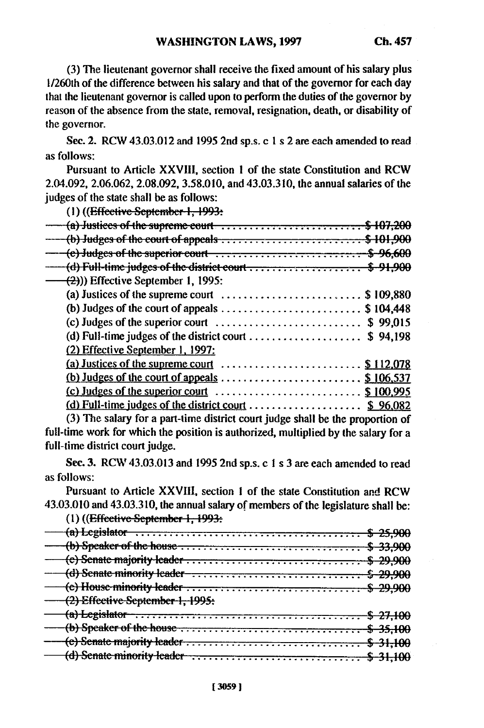**(3) The** lieutenant governor shall receive the fixed amount of his salary plus **1/260th** of the difference between his salary and that of the governor for each day that the lieutenant governor is called upon to perform the duties of the governor **by** reason of the absence from the state, removal, resignation, death, or disability of the governor.

**See.** 2. RCW 43.03.012 and 1995 2nd sp.s. c 1 s 2 are each amended to read as follows:

Pursuant to Article XXVIII, section **I** of the state Constitution and RCW 2.04.092, 2.06.062, 2.08.092, 3.58.010, and 43.03.310, the annual salaries of the judges of the state shall be as follows:

**(I)** ((Effeei.- September **1, 1993:**

| $-$ (a) Justices of the supreme court $\ldots \ldots \ldots \ldots \ldots \ldots$ \$107,200 |  |
|---------------------------------------------------------------------------------------------|--|
| (b) Judges of the court of appeals \$101,900                                                |  |
| $-$ (e) Judges of the superior court $\dots\dots\dots\dots\dots\dots\dots\dots$ \$ 96,600   |  |
|                                                                                             |  |
| $\leftarrow$ (2))) Effective September 1, 1995:                                             |  |
| (a) Justices of the supreme court $\ldots$ \$109,880                                        |  |
| (b) Judges of the court of appeals \$104,448                                                |  |
| (c) Judges of the superior court $\dots \dots \dots \dots \dots \dots \dots$ \$99,015       |  |
| (d) Full-time judges of the district court $\dots \dots \dots \dots \dots$ \$ 94,198        |  |
| (2) Effective September 1, 1997:                                                            |  |
| (a) Justices of the supreme court $\ldots$ \$ 112,078                                       |  |
| (b) Judges of the court of appeals $\ldots$ \$ 106,537                                      |  |
|                                                                                             |  |
| (d) Full-time judges of the district court $\dots \dots \dots \dots \dots$ \$ 96,082        |  |
| $(3)$ The salary for a nart-time district court judge shall be the proportion of            |  |

(3) The salary for a part-time district court judge shall be the proportion of full-time work for which the position is authorized, multiplied by the salary for a full-time district court judge.

Sec. 3. RCW 43.03.013 and 1995 2nd sp.s. c 1 s 3 are each amended to read as follows:

Pursuant to Article XXVIII, section 1 of the state Constitution and RCW 43.03.010 and 43.03.310, the annual salary of members of the legislature shall be:

**(1)** ((Effeetive Septembe; **1, 1993:**

| $\mu$ , $\mu$ and $\mu$ of $\mu$ or $\mu$ and $\mu$ and $\mu$ |  |
|---------------------------------------------------------------|--|
|                                                               |  |
|                                                               |  |
|                                                               |  |
|                                                               |  |
|                                                               |  |
| (2) Effective September 1, 1995.                              |  |
|                                                               |  |
|                                                               |  |
|                                                               |  |
|                                                               |  |